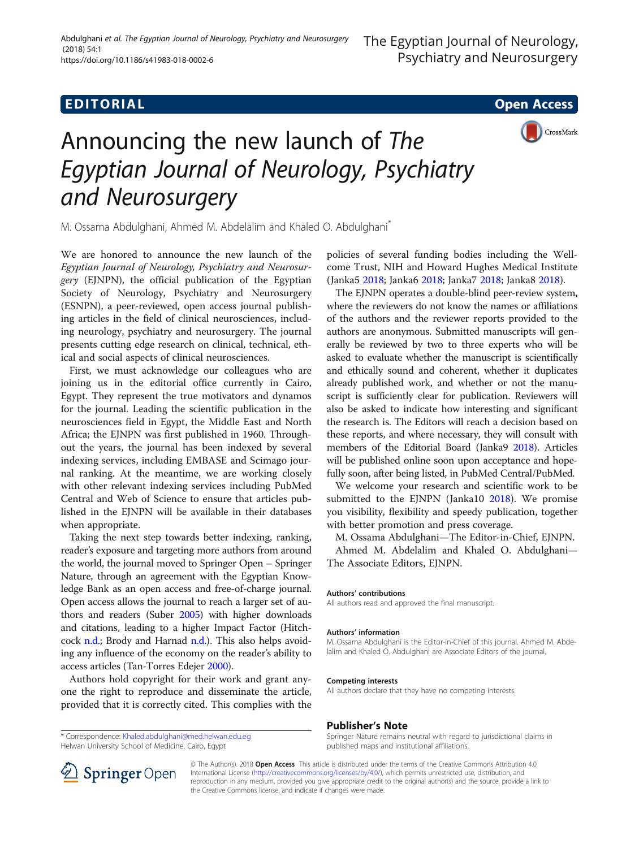### Abdulghani et al. The Egyptian Journal of Neurology, Psychiatry and Neurosurgery (2018) 54:1 https://doi.org/10.1186/s41983-018-0002-6

# EDI TORIA L Open Access



# Announcing the new launch of The Egyptian Journal of Neurology, Psychiatry and Neurosurgery

M. Ossama Abdulghani, Ahmed M. Abdelalim and Khaled O. Abdulghani<sup>\*</sup>

We are honored to announce the new launch of the Egyptian Journal of Neurology, Psychiatry and Neurosurgery (EJNPN), the official publication of the Egyptian Society of Neurology, Psychiatry and Neurosurgery (ESNPN), a peer-reviewed, open access journal publishing articles in the field of clinical neurosciences, including neurology, psychiatry and neurosurgery. The journal presents cutting edge research on clinical, technical, ethical and social aspects of clinical neurosciences.

First, we must acknowledge our colleagues who are joining us in the editorial office currently in Cairo, Egypt. They represent the true motivators and dynamos for the journal. Leading the scientific publication in the neurosciences field in Egypt, the Middle East and North Africa; the EJNPN was first published in 1960. Throughout the years, the journal has been indexed by several indexing services, including EMBASE and Scimago journal ranking. At the meantime, we are working closely with other relevant indexing services including PubMed Central and Web of Science to ensure that articles published in the EJNPN will be available in their databases when appropriate.

Taking the next step towards better indexing, ranking, reader's exposure and targeting more authors from around the world, the journal moved to Springer Open – Springer Nature, through an agreement with the Egyptian Knowledge Bank as an open access and free-of-charge journal. Open access allows the journal to reach a larger set of authors and readers (Suber [2005](#page-1-0)) with higher downloads and citations, leading to a higher Impact Factor (Hitchcock [n.d.](#page-1-0); Brody and Harnad [n.d.\)](#page-1-0). This also helps avoiding any influence of the economy on the reader's ability to access articles (Tan-Torres Edejer [2000\)](#page-1-0).

Authors hold copyright for their work and grant anyone the right to reproduce and disseminate the article, provided that it is correctly cited. This complies with the

\* Correspondence: [Khaled.abdulghani@med.helwan.edu.eg](mailto:Khaled.abdulghani@med.helwan.edu.eg)

Helwan University School of Medicine, Cairo, Egypt

policies of several funding bodies including the Wellcome Trust, NIH and Howard Hughes Medical Institute (Janka5 [2018;](#page-1-0) Janka6 [2018;](#page-1-0) Janka7 [2018](#page-1-0); Janka8 [2018\)](#page-1-0).

The EJNPN operates a double-blind peer-review system, where the reviewers do not know the names or affiliations of the authors and the reviewer reports provided to the authors are anonymous. Submitted manuscripts will generally be reviewed by two to three experts who will be asked to evaluate whether the manuscript is scientifically and ethically sound and coherent, whether it duplicates already published work, and whether or not the manuscript is sufficiently clear for publication. Reviewers will also be asked to indicate how interesting and significant the research is. The Editors will reach a decision based on these reports, and where necessary, they will consult with members of the Editorial Board (Janka9 [2018\)](#page-1-0). Articles will be published online soon upon acceptance and hopefully soon, after being listed, in PubMed Central/PubMed.

We welcome your research and scientific work to be submitted to the EJNPN (Janka10 [2018](#page-1-0)). We promise you visibility, flexibility and speedy publication, together with better promotion and press coverage.

M. Ossama Abdulghani—The Editor-in-Chief, EJNPN.

Ahmed M. Abdelalim and Khaled O. Abdulghani— The Associate Editors, EJNPN.

### Authors' contributions

All authors read and approved the final manuscript.

### Authors' information

M. Ossama Abdulghani is the Editor-in-Chief of this journal. Ahmed M. Abdelalim and Khaled O. Abdulghani are Associate Editors of the journal.

All authors declare that they have no competing interests.

### Publisher's Note

Springer Nature remains neutral with regard to jurisdictional claims in published maps and institutional affiliations.



© The Author(s). 2018 Open Access This article is distributed under the terms of the Creative Commons Attribution 4.0 International License ([http://creativecommons.org/licenses/by/4.0/\)](http://creativecommons.org/licenses/by/4.0/), which permits unrestricted use, distribution, and reproduction in any medium, provided you give appropriate credit to the original author(s) and the source, provide a link to the Creative Commons license, and indicate if changes were made.